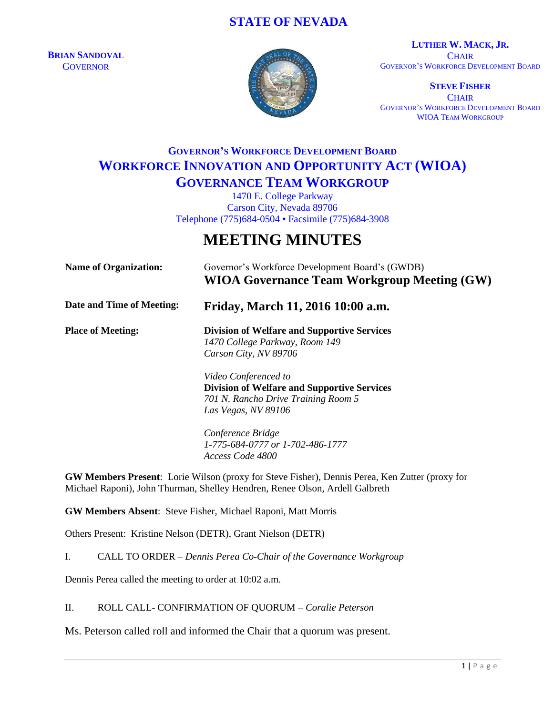# **STATE OF NEVADA**

**BRIAN SANDOVAL GOVERNOR** 



**LUTHER W. MACK, JR. CHAIR** GOVERNOR'S WORKFORCE DEVELOPMENT BOARD

**STEVE FISHER CHAIR** GOVERNOR'S WORKFORCE DEVELOPMENT BOARD WIOA TEAM WORKGROUP

# **GOVERNOR'S WORKFORCE DEVELOPMENT BOARD WORKFORCE INNOVATION AND OPPORTUNITY ACT (WIOA) GOVERNANCE TEAM WORKGROUP**

1470 E. College Parkway Carson City, Nevada 89706 Telephone (775)684-0504 • Facsimile (775)684-3908

# **MEETING MINUTES**

| <b>Name of Organization:</b> | Governor's Workforce Development Board's (GWDB)<br>WIOA Governance Team Workgroup Meeting (GW)                                           |
|------------------------------|------------------------------------------------------------------------------------------------------------------------------------------|
| Date and Time of Meeting:    | Friday, March 11, 2016 10:00 a.m.                                                                                                        |
| <b>Place of Meeting:</b>     | <b>Division of Welfare and Supportive Services</b><br>1470 College Parkway, Room 149<br>Carson City, NV 89706                            |
|                              | Video Conferenced to<br><b>Division of Welfare and Supportive Services</b><br>701 N. Rancho Drive Training Room 5<br>Las Vegas, NV 89106 |
|                              | Conference Bridge<br>1-775-684-0777 or 1-702-486-1777<br>Access Code 4800                                                                |

**GW Members Present**: Lorie Wilson (proxy for Steve Fisher), Dennis Perea, Ken Zutter (proxy for Michael Raponi), John Thurman, Shelley Hendren, Renee Olson, Ardell Galbreth

**GW Members Absent**: Steve Fisher, Michael Raponi, Matt Morris

Others Present: Kristine Nelson (DETR), Grant Nielson (DETR)

I. CALL TO ORDER – *Dennis Perea Co-Chair of the Governance Workgroup*

Dennis Perea called the meeting to order at 10:02 a.m.

II. ROLL CALL- CONFIRMATION OF QUORUM – *Coralie Peterson*

Ms. Peterson called roll and informed the Chair that a quorum was present.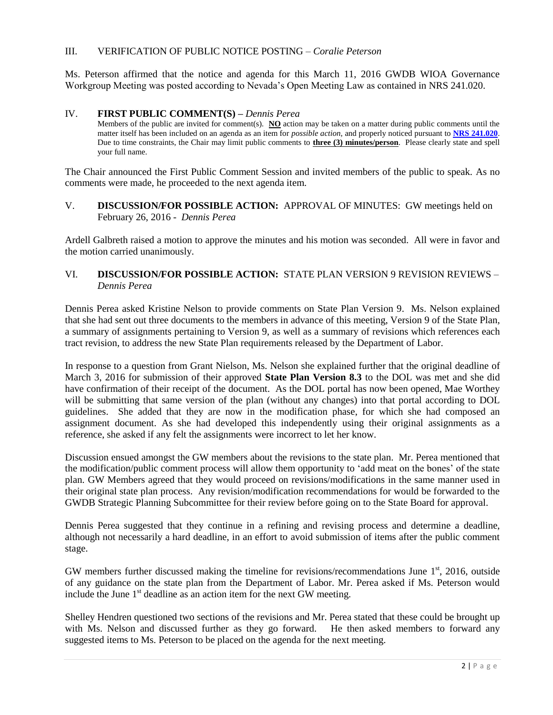#### III. VERIFICATION OF PUBLIC NOTICE POSTING – *Coralie Peterson*

Ms. Peterson affirmed that the notice and agenda for this March 11, 2016 GWDB WIOA Governance Workgroup Meeting was posted according to Nevada's Open Meeting Law as contained in NRS 241.020.

#### IV. **FIRST PUBLIC COMMENT(S) –** *Dennis Perea*

Members of the public are invited for comment(s). **NO** action may be taken on a matter during public comments until the matter itself has been included on an agenda as an item for *possible action*, and properly noticed pursuant to **[NRS 241.020](http://www.leg.state.nv.us/NRS/NRS-241.html#NRS241Sec020)**. Due to time constraints, the Chair may limit public comments to **three (3) minutes/person**. Please clearly state and spell your full name.

The Chair announced the First Public Comment Session and invited members of the public to speak. As no comments were made, he proceeded to the next agenda item.

### V. **DISCUSSION/FOR POSSIBLE ACTION:** APPROVAL OF MINUTES: GW meetings held on February 26, 2016 - *Dennis Perea*

Ardell Galbreth raised a motion to approve the minutes and his motion was seconded. All were in favor and the motion carried unanimously.

# VI. **DISCUSSION/FOR POSSIBLE ACTION:** STATE PLAN VERSION 9 REVISION REVIEWS – *Dennis Perea*

Dennis Perea asked Kristine Nelson to provide comments on State Plan Version 9. Ms. Nelson explained that she had sent out three documents to the members in advance of this meeting, Version 9 of the State Plan, a summary of assignments pertaining to Version 9, as well as a summary of revisions which references each tract revision, to address the new State Plan requirements released by the Department of Labor.

In response to a question from Grant Nielson, Ms. Nelson she explained further that the original deadline of March 3, 2016 for submission of their approved **State Plan Version 8.3** to the DOL was met and she did have confirmation of their receipt of the document. As the DOL portal has now been opened, Mae Worthey will be submitting that same version of the plan (without any changes) into that portal according to DOL guidelines. She added that they are now in the modification phase, for which she had composed an assignment document. As she had developed this independently using their original assignments as a reference, she asked if any felt the assignments were incorrect to let her know.

Discussion ensued amongst the GW members about the revisions to the state plan. Mr. Perea mentioned that the modification/public comment process will allow them opportunity to 'add meat on the bones' of the state plan. GW Members agreed that they would proceed on revisions/modifications in the same manner used in their original state plan process. Any revision/modification recommendations for would be forwarded to the GWDB Strategic Planning Subcommittee for their review before going on to the State Board for approval.

Dennis Perea suggested that they continue in a refining and revising process and determine a deadline, although not necessarily a hard deadline, in an effort to avoid submission of items after the public comment stage.

GW members further discussed making the timeline for revisions/recommendations June  $1<sup>st</sup>$ , 2016, outside of any guidance on the state plan from the Department of Labor. Mr. Perea asked if Ms. Peterson would include the June  $1<sup>st</sup>$  deadline as an action item for the next GW meeting.

Shelley Hendren questioned two sections of the revisions and Mr. Perea stated that these could be brought up with Ms. Nelson and discussed further as they go forward. He then asked members to forward any suggested items to Ms. Peterson to be placed on the agenda for the next meeting.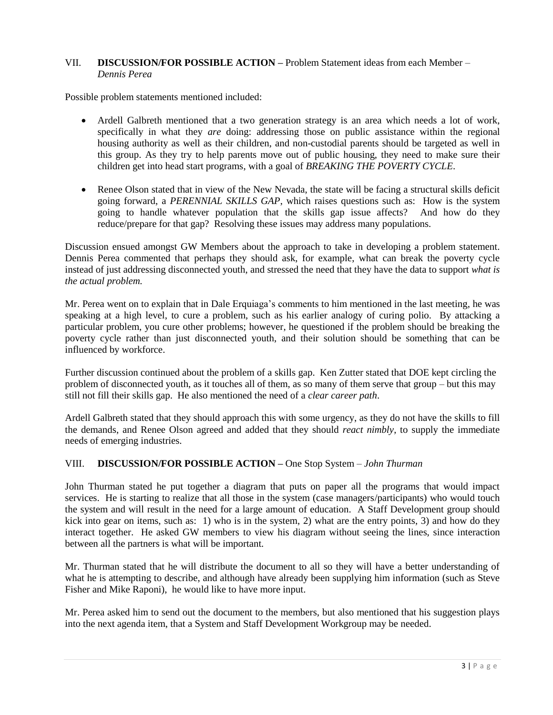## VII. **DISCUSSION/FOR POSSIBLE ACTION –** Problem Statement ideas from each Member – *Dennis Perea*

Possible problem statements mentioned included:

- Ardell Galbreth mentioned that a two generation strategy is an area which needs a lot of work, specifically in what they *are* doing: addressing those on public assistance within the regional housing authority as well as their children, and non-custodial parents should be targeted as well in this group. As they try to help parents move out of public housing, they need to make sure their children get into head start programs, with a goal of *BREAKING THE POVERTY CYCLE*.
- Renee Olson stated that in view of the New Nevada, the state will be facing a structural skills deficit going forward, a *PERENNIAL SKILLS GAP*, which raises questions such as: How is the system going to handle whatever population that the skills gap issue affects? And how do they reduce/prepare for that gap? Resolving these issues may address many populations.

Discussion ensued amongst GW Members about the approach to take in developing a problem statement. Dennis Perea commented that perhaps they should ask, for example, what can break the poverty cycle instead of just addressing disconnected youth, and stressed the need that they have the data to support *what is the actual problem.* 

Mr. Perea went on to explain that in Dale Erquiaga's comments to him mentioned in the last meeting, he was speaking at a high level, to cure a problem, such as his earlier analogy of curing polio. By attacking a particular problem, you cure other problems; however, he questioned if the problem should be breaking the poverty cycle rather than just disconnected youth, and their solution should be something that can be influenced by workforce.

Further discussion continued about the problem of a skills gap. Ken Zutter stated that DOE kept circling the problem of disconnected youth, as it touches all of them, as so many of them serve that group – but this may still not fill their skills gap. He also mentioned the need of a *clear career path*.

Ardell Galbreth stated that they should approach this with some urgency, as they do not have the skills to fill the demands, and Renee Olson agreed and added that they should *react nimbly*, to supply the immediate needs of emerging industries.

### VIII. **DISCUSSION/FOR POSSIBLE ACTION –** One Stop System – *John Thurman*

John Thurman stated he put together a diagram that puts on paper all the programs that would impact services. He is starting to realize that all those in the system (case managers/participants) who would touch the system and will result in the need for a large amount of education. A Staff Development group should kick into gear on items, such as: 1) who is in the system, 2) what are the entry points, 3) and how do they interact together. He asked GW members to view his diagram without seeing the lines, since interaction between all the partners is what will be important.

Mr. Thurman stated that he will distribute the document to all so they will have a better understanding of what he is attempting to describe, and although have already been supplying him information (such as Steve Fisher and Mike Raponi), he would like to have more input.

Mr. Perea asked him to send out the document to the members, but also mentioned that his suggestion plays into the next agenda item, that a System and Staff Development Workgroup may be needed.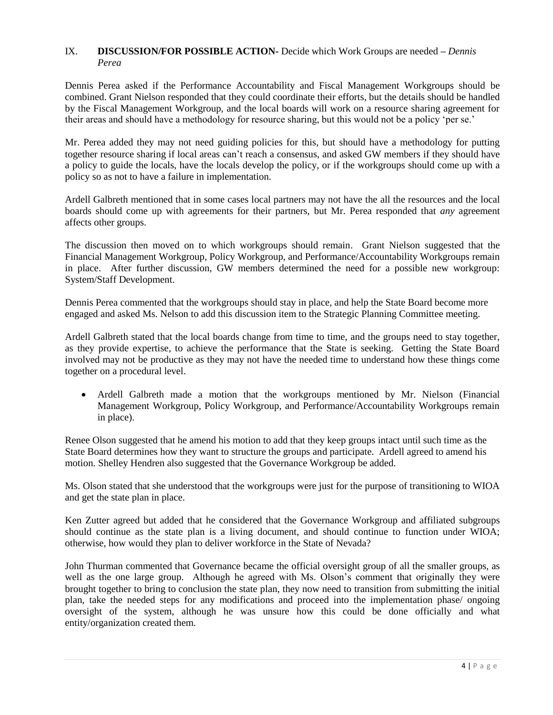## IX. **DISCUSSION/FOR POSSIBLE ACTION-** Decide which Work Groups are needed **–** *Dennis Perea*

Dennis Perea asked if the Performance Accountability and Fiscal Management Workgroups should be combined. Grant Nielson responded that they could coordinate their efforts, but the details should be handled by the Fiscal Management Workgroup, and the local boards will work on a resource sharing agreement for their areas and should have a methodology for resource sharing, but this would not be a policy 'per se.'

Mr. Perea added they may not need guiding policies for this, but should have a methodology for putting together resource sharing if local areas can't reach a consensus, and asked GW members if they should have a policy to guide the locals, have the locals develop the policy, or if the workgroups should come up with a policy so as not to have a failure in implementation.

Ardell Galbreth mentioned that in some cases local partners may not have the all the resources and the local boards should come up with agreements for their partners, but Mr. Perea responded that *any* agreement affects other groups.

The discussion then moved on to which workgroups should remain. Grant Nielson suggested that the Financial Management Workgroup, Policy Workgroup, and Performance/Accountability Workgroups remain in place. After further discussion, GW members determined the need for a possible new workgroup: System/Staff Development.

Dennis Perea commented that the workgroups should stay in place, and help the State Board become more engaged and asked Ms. Nelson to add this discussion item to the Strategic Planning Committee meeting.

Ardell Galbreth stated that the local boards change from time to time, and the groups need to stay together, as they provide expertise, to achieve the performance that the State is seeking. Getting the State Board involved may not be productive as they may not have the needed time to understand how these things come together on a procedural level.

• Ardell Galbreth made a motion that the workgroups mentioned by Mr. Nielson (Financial Management Workgroup, Policy Workgroup, and Performance/Accountability Workgroups remain in place).

Renee Olson suggested that he amend his motion to add that they keep groups intact until such time as the State Board determines how they want to structure the groups and participate. Ardell agreed to amend his motion. Shelley Hendren also suggested that the Governance Workgroup be added.

Ms. Olson stated that she understood that the workgroups were just for the purpose of transitioning to WIOA and get the state plan in place.

Ken Zutter agreed but added that he considered that the Governance Workgroup and affiliated subgroups should continue as the state plan is a living document, and should continue to function under WIOA; otherwise, how would they plan to deliver workforce in the State of Nevada?

John Thurman commented that Governance became the official oversight group of all the smaller groups, as well as the one large group. Although he agreed with Ms. Olson's comment that originally they were brought together to bring to conclusion the state plan, they now need to transition from submitting the initial plan, take the needed steps for any modifications and proceed into the implementation phase/ ongoing oversight of the system, although he was unsure how this could be done officially and what entity/organization created them.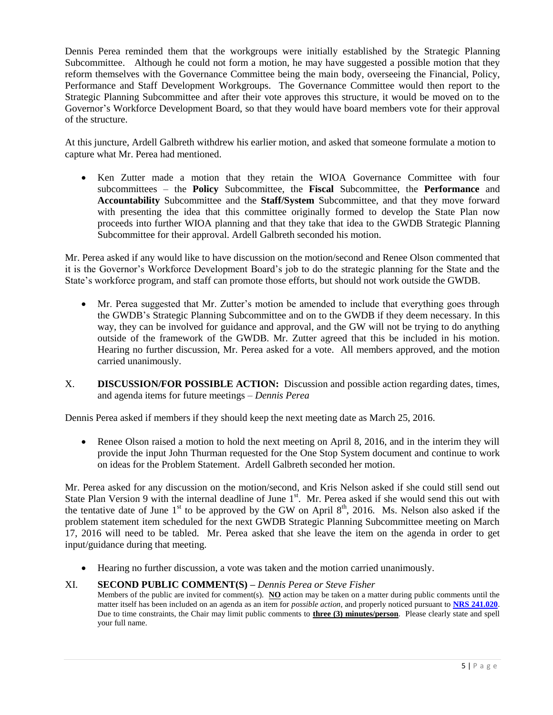Dennis Perea reminded them that the workgroups were initially established by the Strategic Planning Subcommittee. Although he could not form a motion, he may have suggested a possible motion that they reform themselves with the Governance Committee being the main body, overseeing the Financial, Policy, Performance and Staff Development Workgroups. The Governance Committee would then report to the Strategic Planning Subcommittee and after their vote approves this structure, it would be moved on to the Governor's Workforce Development Board, so that they would have board members vote for their approval of the structure.

At this juncture, Ardell Galbreth withdrew his earlier motion, and asked that someone formulate a motion to capture what Mr. Perea had mentioned.

 Ken Zutter made a motion that they retain the WIOA Governance Committee with four subcommittees – the **Policy** Subcommittee, the **Fiscal** Subcommittee, the **Performance** and **Accountability** Subcommittee and the **Staff/System** Subcommittee, and that they move forward with presenting the idea that this committee originally formed to develop the State Plan now proceeds into further WIOA planning and that they take that idea to the GWDB Strategic Planning Subcommittee for their approval. Ardell Galbreth seconded his motion.

Mr. Perea asked if any would like to have discussion on the motion/second and Renee Olson commented that it is the Governor's Workforce Development Board's job to do the strategic planning for the State and the State's workforce program, and staff can promote those efforts, but should not work outside the GWDB.

- Mr. Perea suggested that Mr. Zutter's motion be amended to include that everything goes through the GWDB's Strategic Planning Subcommittee and on to the GWDB if they deem necessary. In this way, they can be involved for guidance and approval, and the GW will not be trying to do anything outside of the framework of the GWDB. Mr. Zutter agreed that this be included in his motion. Hearing no further discussion, Mr. Perea asked for a vote. All members approved, and the motion carried unanimously.
- X. **DISCUSSION/FOR POSSIBLE ACTION:** Discussion and possible action regarding dates, times, and agenda items for future meetings – *Dennis Perea*

Dennis Perea asked if members if they should keep the next meeting date as March 25, 2016.

• Renee Olson raised a motion to hold the next meeting on April 8, 2016, and in the interim they will provide the input John Thurman requested for the One Stop System document and continue to work on ideas for the Problem Statement. Ardell Galbreth seconded her motion.

Mr. Perea asked for any discussion on the motion/second, and Kris Nelson asked if she could still send out State Plan Version 9 with the internal deadline of June  $1<sup>st</sup>$ . Mr. Perea asked if she would send this out with the tentative date of June  $1<sup>st</sup>$  to be approved by the GW on April  $8<sup>th</sup>$ , 2016. Ms. Nelson also asked if the problem statement item scheduled for the next GWDB Strategic Planning Subcommittee meeting on March 17, 2016 will need to be tabled. Mr. Perea asked that she leave the item on the agenda in order to get input/guidance during that meeting.

Hearing no further discussion, a vote was taken and the motion carried unanimously.

#### XI. **SECOND PUBLIC COMMENT(S) –** *Dennis Perea or Steve Fisher*

Members of the public are invited for comment(s). **NO** action may be taken on a matter during public comments until the matter itself has been included on an agenda as an item for *possible action*, and properly noticed pursuant to **[NRS 241.020](http://www.leg.state.nv.us/NRS/NRS-241.html#NRS241Sec020)**. Due to time constraints, the Chair may limit public comments to **three (3) minutes/person**. Please clearly state and spell your full name.